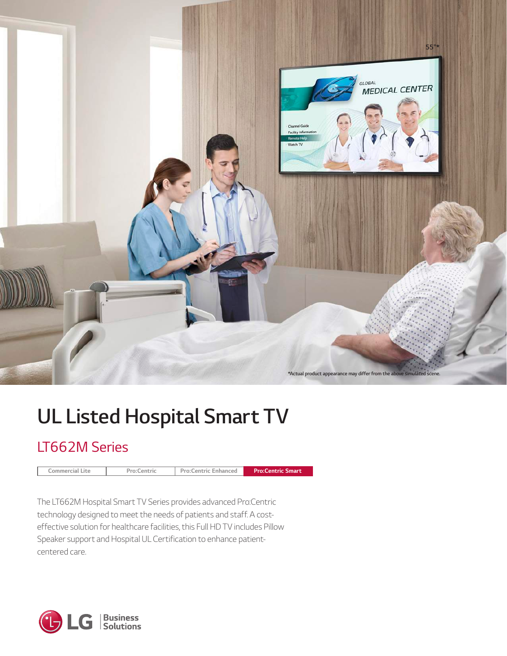

# *UL Listed Hospital Smart TV*

# *LT662M Series*

*Pro:Centric*

*Pro:Centric Enhanced Commercial Lite Pro:Centric Smart*

*The LT662M Hospital Smart TV Series provides advanced Pro:Centric technology designed to meet the needs of patients and staff. A costeffective solution for healthcare facilities, this Full HD TV includes Pillow Speaker support and Hospital UL Certification to enhance patientcentered care.*

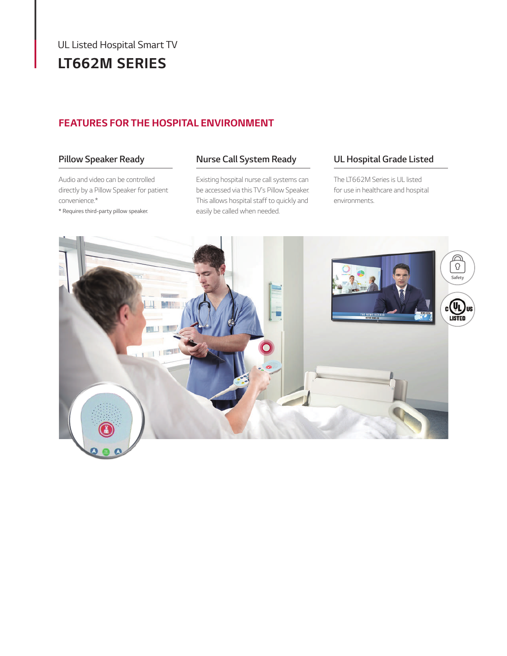# *UL Listed Hospital Smart TV LT662M SERIES*

## *FEATURES FOR THE HOSPITAL ENVIRONMENT*

## *Pillow Speaker Ready*

*Audio and video can be controlled directly by a Pillow Speaker for patient convenience.\**

*\* Requires third-party pillow speaker.*

## *Nurse Call System Ready*

*Existing hospital nurse call systems can be accessed via this TV's Pillow Speaker. This allows hospital staff to quickly and easily be called when needed.*

## *UL Hospital Grade Listed*

*The LT662M Series is UL listed for use in healthcare and hospital environments.*

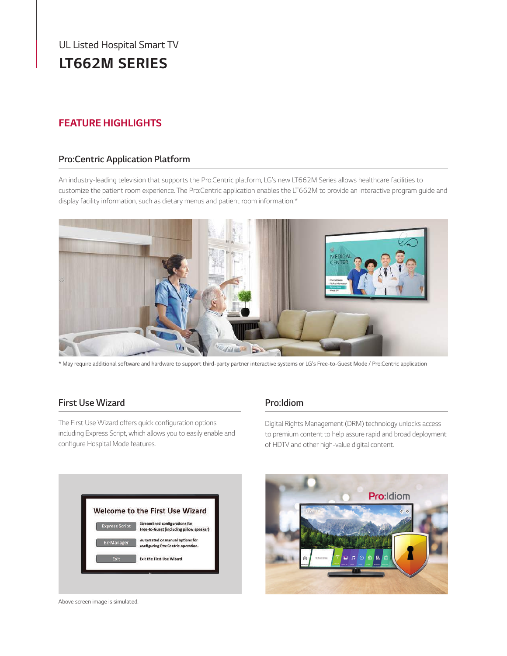# *UL Listed Hospital Smart TV UL Listed Hospital Smart TV LT662M SERIES*

## *FEATURE HIGHLIGHTS*

## *UL Hospital Grade Listed Pro:Centric Application Platform*

*An industry-leading television that supports the Pro:Centric platform, LG's new LT662M Series allows healthcare facilities to customize the patient room experience. The Pro:Centric application enables the LT662M to provide an interactive program guide and display facility information, such as dietary menus and patient room information.\**



*\* May require additional software and hardware to support third-party partner interactive systems or LG's Free-to-Guest Mode / Pro:Centric application*

## *First Use Wizard*

The First Use Wizard offers quick configuration options *including Express Script, which allows you to easily enable and*  configure Hospital Mode features.

## *Pro:Idiom*

*Digital Rights Management (DRM) technology unlocks access to premium content to help assure rapid and broad deployment of HDTV and other high-value digital content.*



*Above screen image is simulated.*

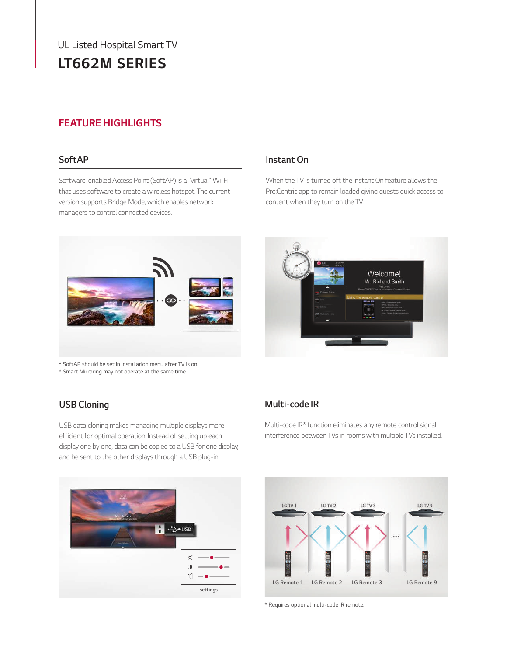# *UL Listed Hospital Smart TV LT662M SERIES*

## *FEATURE HIGHLIGHTS*

### *SoftAP*

*Software-enabled Access Point (SoftAP) is a "virtual" Wi-Fi that uses software to create a wireless hotspot. The current version supports Bridge Mode, which enables network managers to control connected devices.*

# $\bullet$

*\* SoftAP should be set in installation menu after TV is on.*

*\* Smart Mirroring may not operate at the same time.*

## *USB Cloning*

*USB data cloning makes managing multiple displays more*  efficient for optimal operation. Instead of setting up each *display one by one, data can be copied to a USB for one display, and be sent to the other displays through a USB plug-in.*

## *Instant On*

When the TV is turned off, the Instant On feature allows the *Pro:Centric app to remain loaded giving guests quick access to content when they turn on the TV.*



## *Multi-code IR*

Multi-code IR\* function eliminates any remote control signal *interference between TVs in rooms with multiple TVs installed.*





*\* Requires optional multi-code IR remote.*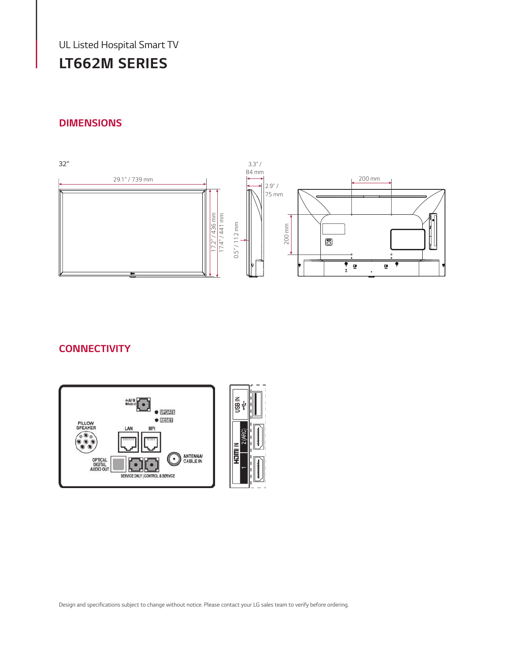*UL Listed Hospital Smart TV UL Listed Hospital Smart TV*

# *LT662M SERIES*

## *DIMENSIONS*



## *CONNECTIVITY*

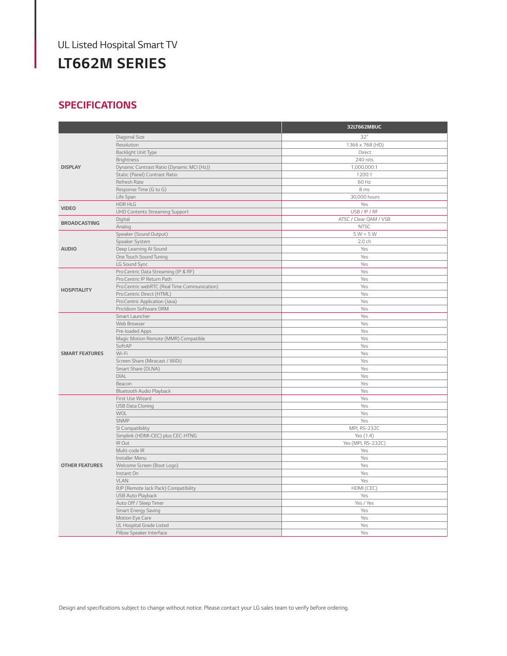# *UL Listed Hospital Smart TV*

# *LT662M SERIES*

## *SPECIFICATIONS*

|                       |                                              | 32LT662MBUC            |
|-----------------------|----------------------------------------------|------------------------|
| <b>DISPLAY</b>        | Diagonal Size                                | 32"                    |
|                       | Resolution                                   | 1366 x 768 (HD)        |
|                       | Backlight Unit Type                          | Direct                 |
|                       | <b>Brightness</b>                            | 240 nits               |
|                       | Dynamic Contrast Ratio (Dynamic MCI (Hz))    | 1,000,000:1            |
|                       | Static (Panel) Contrast Ratio                | 1200:1                 |
|                       | Refresh Rate                                 | 60 Hz                  |
|                       | Response Time (G to G)                       | 8 ms                   |
|                       | Life Span                                    | 30,000 hours           |
| <b>VIDEO</b>          | <b>HDR HLG</b>                               | Yes                    |
|                       | <b>UHD Contents Streaming Support</b>        | USB/IP/RF              |
| <b>BROADCASTING</b>   | Digital                                      | ATSC / Clear QAM / VSB |
|                       | Analog                                       | <b>NTSC</b>            |
|                       | Speaker (Sound Output)                       | $5 W + 5 W$            |
|                       | Speaker System                               | 2.0 ch                 |
| <b>AUDIO</b>          | Deep Learning AI Sound                       | Yes                    |
|                       | One Touch Sound Tuning                       | Yes                    |
|                       | LG Sound Sync                                | Yes                    |
|                       | Pro:Centric Data Streaming (IP & RF)         | Yes                    |
|                       | Pro:Centric IP Return Path                   | Yes                    |
| <b>HOSPITALITY</b>    | Pro:Centric webRTC (Real Time Communication) | Yes                    |
|                       | Pro:Centric Direct (HTML)                    | Yes                    |
|                       | Pro:Centric Application (Java)               | Yes                    |
|                       | Pro:Idiom Software DRM                       | Yes                    |
|                       | Smart Launcher                               | Yes                    |
| <b>SMART FEATURES</b> | Web Browser                                  | Yes                    |
|                       | Pre-loaded Apps                              | Yes                    |
|                       | Magic Motion Remote (MMR) Compatible         | Yes                    |
|                       | SoftAP                                       | Yes                    |
|                       | Wi-Fi                                        | Yes                    |
|                       | Screen Share (Miracast / WiDi)               | Yes                    |
|                       | Smart Share (DLNA)                           | Yes                    |
|                       | <b>DIAL</b>                                  | Yes                    |
|                       | Beacon                                       | Yes                    |
|                       | Bluetooth Audio Playback                     | Yes                    |
| <b>OTHER FEATURES</b> | First Use Wizard                             | Yes                    |
|                       | <b>USB Data Cloning</b>                      | Yes                    |
|                       | <b>WOL</b><br><b>SNMP</b>                    | Yes<br>Yes             |
|                       | SI Compatibility                             | MPI, RS-232C           |
|                       | Simplink (HDMI-CEC) plus CEC-HTNG            | Yes (1.4)              |
|                       | IR Out                                       | Yes (MPI, RS-232C)     |
|                       | Multi-code IR                                | Yes                    |
|                       | Installer Menu                               | Yes                    |
|                       | Welcome Screen (Boot Logo)                   | Yes                    |
|                       | Instant On                                   | Yes                    |
|                       | <b>VLAN</b>                                  | Yes                    |
|                       | RJP (Remote Jack Pack) Compatibility         | HDMI (CEC)             |
|                       | <b>USB Auto Playback</b>                     | Yes                    |
|                       | Auto Off / Sleep Timer                       | Yes / Yes              |
|                       | Smart Energy Saving                          | Yes                    |
|                       | Motion Eye Care                              | Yes                    |
|                       | UL Hospital Grade Listed                     | Yes                    |
|                       | Pillow Speaker Interface                     | Yes                    |
|                       |                                              |                        |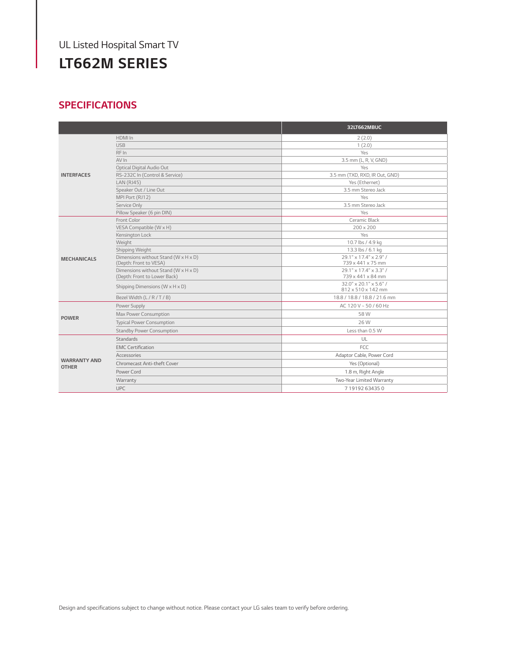## *UL Listed Hospital Smart TV UL Listed Hospital Smart TV*

# *LT662M SERIES*

## *SPECIFICATIONS*

|                                     |                                                                      | 32LT662MBUC                                  |
|-------------------------------------|----------------------------------------------------------------------|----------------------------------------------|
| <b>INTERFACES</b>                   | HDMI In                                                              | 2(2.0)                                       |
|                                     | <b>USB</b>                                                           | 1(2.0)                                       |
|                                     | RF In                                                                | Yes                                          |
|                                     | AV In                                                                | 3.5 mm (L, R, V, GND)                        |
|                                     | Optical Digital Audio Out                                            | Yes                                          |
|                                     | RS-232C In (Control & Service)                                       | 3.5 mm (TXD, RXD, IR Out, GND)               |
|                                     | <b>LAN (RJ45)</b>                                                    | Yes (Ethernet)                               |
|                                     | Speaker Out / Line Out                                               | 3.5 mm Stereo Jack                           |
|                                     | MPI Port (RJ12)                                                      | Yes                                          |
|                                     | Service Only                                                         | 3.5 mm Stereo Jack                           |
|                                     | Pillow Speaker (6 pin DIN)                                           | Yes                                          |
| <b>MECHANICALS</b>                  | Front Color                                                          | Ceramic Black                                |
|                                     | VESA Compatible (W x H)                                              | 200 x 200                                    |
|                                     | Kensington Lock                                                      | Yes                                          |
|                                     | Weight                                                               | 10.7 lbs / 4.9 kg                            |
|                                     | Shipping Weight                                                      | 13.3 lbs / 6.1 kg                            |
|                                     | Dimensions without Stand (W x H x D)<br>(Depth: Front to VESA)       | 29.1" x 17.4" x 2.9" /<br>739 x 441 x 75 mm  |
|                                     | Dimensions without Stand (W x H x D)<br>(Depth: Front to Lower Back) | 29.1" x 17.4" x 3.3" /<br>739 x 441 x 84 mm  |
|                                     | Shipping Dimensions (W x H x D)                                      | 32.0" x 20.1" x 5.6" /<br>812 x 510 x 142 mm |
|                                     | Bezel Width (L / R / T / B)                                          | 18.8 / 18.8 / 18.8 / 21.6 mm                 |
| <b>POWER</b>                        | Power Supply                                                         | AC 120 V ~ 50 / 60 Hz                        |
|                                     | Max Power Consumption                                                | 58 W                                         |
|                                     | <b>Typical Power Consumption</b>                                     | 26 W                                         |
|                                     | Standby Power Consumption                                            | Less than 0.5 W                              |
| <b>WARRANTY AND</b><br><b>OTHER</b> | <b>Standards</b>                                                     | UL                                           |
|                                     | <b>EMC Certification</b>                                             | FCC.                                         |
|                                     | Accessories                                                          | Adaptor Cable, Power Cord                    |
|                                     | Chromecast Anti-theft Cover                                          | Yes (Optional)                               |
|                                     | Power Cord                                                           | 1.8 m, Right Angle                           |
|                                     | Warranty                                                             | Two-Year Limited Warranty                    |
|                                     | <b>UPC</b>                                                           | 719192634350                                 |